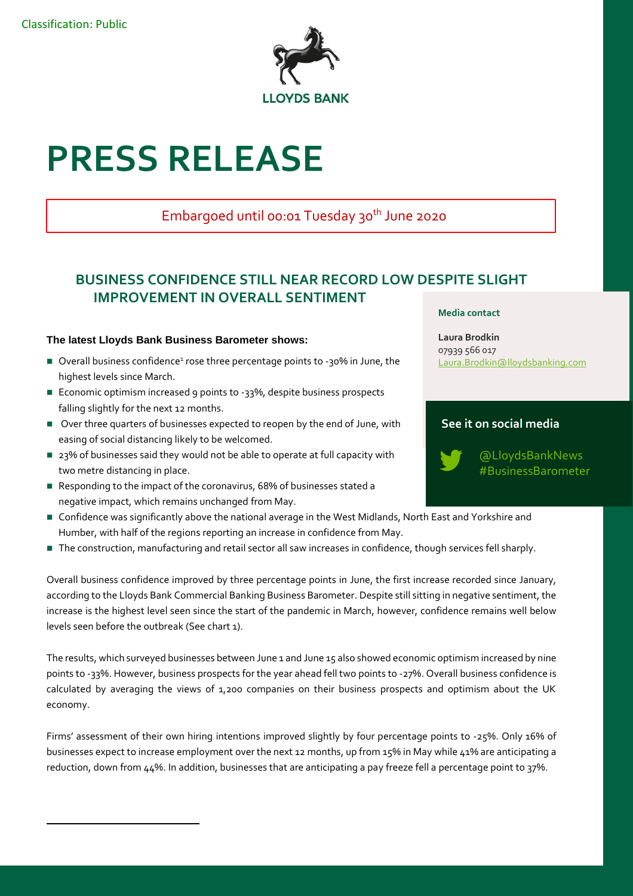$\overline{a}$ 



# **PRESS RELEASE**

# Embargoed until 00:01 Tuesday 30<sup>th</sup> June 2020

# **BUSINESS CONFIDENCE STILL NEAR RECORD LOW DESPITE SLIGHT IMPROVEMENT IN OVERALL SENTIMENT**

## **The latest Lloyds Bank Business Barometer shows:**

- Overall business confidence<sup>1</sup> rose three percentage points to -30% in June, the highest levels since March.
- Economic optimism increased 9 points to -33%, despite business prospects falling slightly for the next 12 months.
- Over three quarters of businesses expected to reopen by the end of June, with easing of social distancing likely to be welcomed.
- 23% of businesses said they would not be able to operate at full capacity with two metre distancing in place.
- Responding to the impact of the coronavirus, 68% of businesses stated a negative impact, which remains unchanged from May.
- Confidence was significantly above the national average in the West Midlands, North East and Yorkshire and Humber, with half of the regions reporting an increase in confidence from May.
- The construction, manufacturing and retail sector all saw increases in confidence, though services fell sharply.

Overall business confidence improved by three percentage points in June, the first increase recorded since January, according to the Lloyds Bank Commercial Banking Business Barometer. Despite still sitting in negative sentiment, the increase is the highest level seen since the start of the pandemic in March, however, confidence remains well below levels seen before the outbreak (See chart 1).

The results, which surveyed businesses between June 1 and June 15 also showed economic optimism increased by nine points to -33%. However, business prospects for the year ahead fell two points to -27%. Overall business confidence is calculated by averaging the views of 1,200 companies on their business prospects and optimism about the UK economy.

Firms' assessment of their own hiring intentions improved slightly by four percentage points to -25%. Only 16% of businesses expect to increase employment over the next 12 months, up from 15% in May while 41% are anticipating a reduction, down from 44%. In addition, businesses that are anticipating a pay freeze fell a percentage point to 37%.

#### **Media contact**

**Laura Brodkin** 07939 566 017 [Laura.Brodkin@lloydsbanking.com](mailto:Laura.Brodkin@lloydsbanking.com)

## **See it on social media**



@LloydsBankNews #BusinessBarometer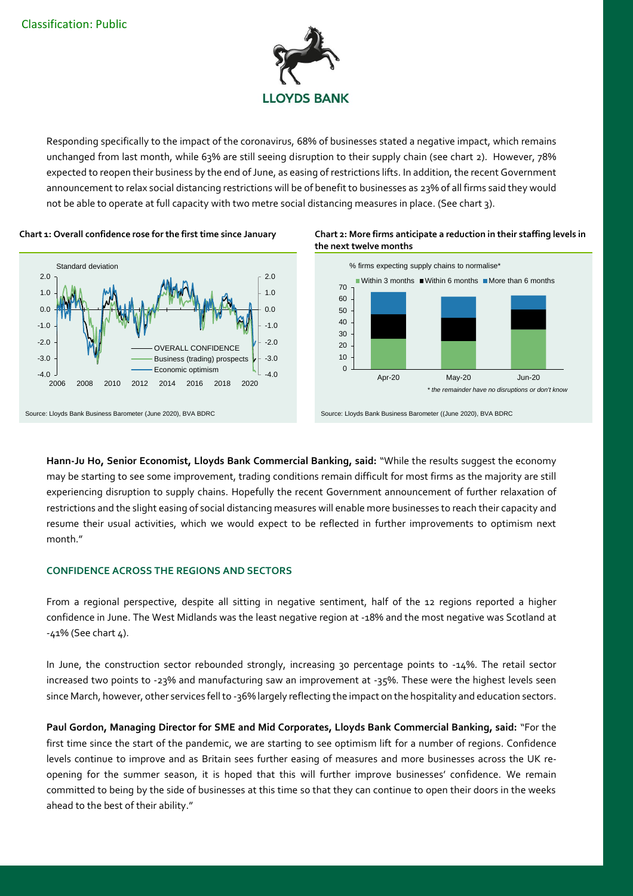

Responding specifically to the impact of the coronavirus, 68% of businesses stated a negative impact, which remains unchanged from last month, while 63% are still seeing disruption to their supply chain (see chart 2). However, 78% expected to reopen their business by the end of June, as easing of restrictions lifts. In addition, the recent Government announcement to relax social distancing restrictions will be of benefit to businesses as 23% of all firms said they would not be able to operate at full capacity with two metre social distancing measures in place. (See chart 3).







**Hann-Ju Ho, Senior Economist, Lloyds Bank Commercial Banking, said:** "While the results suggest the economy may be starting to see some improvement, trading conditions remain difficult for most firms as the majority are still experiencing disruption to supply chains. Hopefully the recent Government announcement of further relaxation of restrictions and the slight easing of social distancing measures will enable more businesses to reach their capacity and resume their usual activities, which we would expect to be reflected in further improvements to optimism next month."

#### **CONFIDENCE ACROSS THE REGIONS AND SECTORS**

From a regional perspective, despite all sitting in negative sentiment, half of the 12 regions reported a higher confidence in June. The West Midlands was the least negative region at -18% and the most negative was Scotland at -41% (See chart 4).

In June, the construction sector rebounded strongly, increasing 30 percentage points to -14%. The retail sector increased two points to -23% and manufacturing saw an improvement at -35%. These were the highest levels seen since March, however, other services fell to -36% largely reflecting the impact on the hospitality and education sectors.

**Paul Gordon, Managing Director for SME and Mid Corporates, Lloyds Bank Commercial Banking, said:** "For the first time since the start of the pandemic, we are starting to see optimism lift for a number of regions. Confidence levels continue to improve and as Britain sees further easing of measures and more businesses across the UK reopening for the summer season, it is hoped that this will further improve businesses' confidence. We remain committed to being by the side of businesses at this time so that they can continue to open their doors in the weeks ahead to the best of their ability."